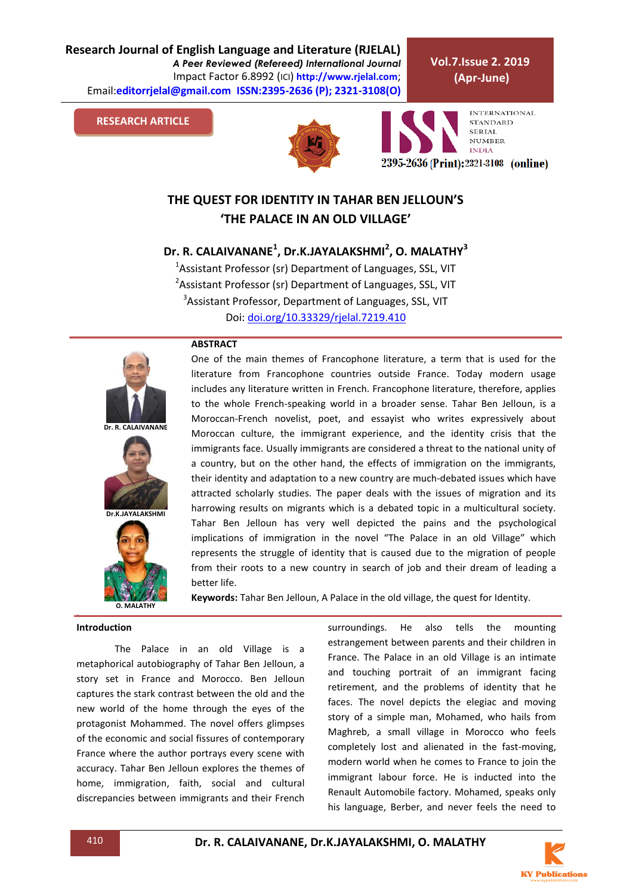**Research Journal of English Language and Literature (RJELAL)** *A Peer Reviewed (Refereed) International Journal* Impact Factor 6.8992 (ICI) **http://www.rjelal.com**; Email:**editorrjelal@gmail.com ISSN:2395-2636 (P); 2321-3108(O)** 

**ABSTRACT**

#### **RESEARCH ARTICLE**





**INTERNATIONAL STANDARD SERIAL** NUMBER **INDIA** 2395-2636 (Print): 2321-3108 (online)

# **THE QUEST FOR IDENTITY IN TAHAR BEN JELLOUN'S 'THE PALACE IN AN OLD VILLAGE'**

**Dr. R. CALAIVANANE<sup>1</sup> , Dr.K.JAYALAKSHMI<sup>2</sup> , O. MALATHY<sup>3</sup>**

<sup>1</sup>Assistant Professor (sr) Department of Languages, SSL, VIT <sup>2</sup>Assistant Professor (sr) Department of Languages, SSL, VIT <sup>3</sup>Assistant Professor, Department of Languages, SSL, VIT Doi: [doi.org/10.33329/rjelal.7219.410](http://www.rjelal.com/)



**Dr. R. CALAIVANANE**





One of the main themes of Francophone literature, a term that is used for the literature from Francophone countries outside France. Today modern usage includes any literature written in French. Francophone literature, therefore, applies to the whole French-speaking world in a broader sense. Tahar Ben Jelloun, is a Moroccan-French novelist, poet, and essayist who writes expressively about Moroccan culture, the immigrant experience, and the identity crisis that the immigrants face. Usually immigrants are considered a threat to the national unity of a country, but on the other hand, the effects of immigration on the immigrants, their identity and adaptation to a new country are much-debated issues which have attracted scholarly studies. The paper deals with the issues of migration and its harrowing results on migrants which is a debated topic in a multicultural society. Tahar Ben Jelloun has very well depicted the pains and the psychological implications of immigration in the novel "The Palace in an old Village" which represents the struggle of identity that is caused due to the migration of people from their roots to a new country in search of job and their dream of leading a better life.

**Keywords:** Tahar Ben Jelloun, A Palace in the old village, the quest for Identity.

# **Introduction**

.

The Palace in an old Village is a metaphorical autobiography of Tahar Ben Jelloun, a story set in France and Morocco. Ben Jelloun captures the stark contrast between the old and the new world of the home through the eyes of the protagonist Mohammed. The novel offers glimpses of the economic and social fissures of contemporary France where the author portrays every scene with accuracy. Tahar Ben Jelloun explores the themes of home, immigration, faith, social and cultural discrepancies between immigrants and their French

surroundings. He also tells the mounting estrangement between parents and their children in France. The Palace in an old Village is an intimate and touching portrait of an immigrant facing retirement, and the problems of identity that he faces. The novel depicts the elegiac and moving story of a simple man, Mohamed, who hails from Maghreb, a small village in Morocco who feels completely lost and alienated in the fast-moving, modern world when he comes to France to join the immigrant labour force. He is inducted into the Renault Automobile factory. Mohamed, speaks only his language, Berber, and never feels the need to

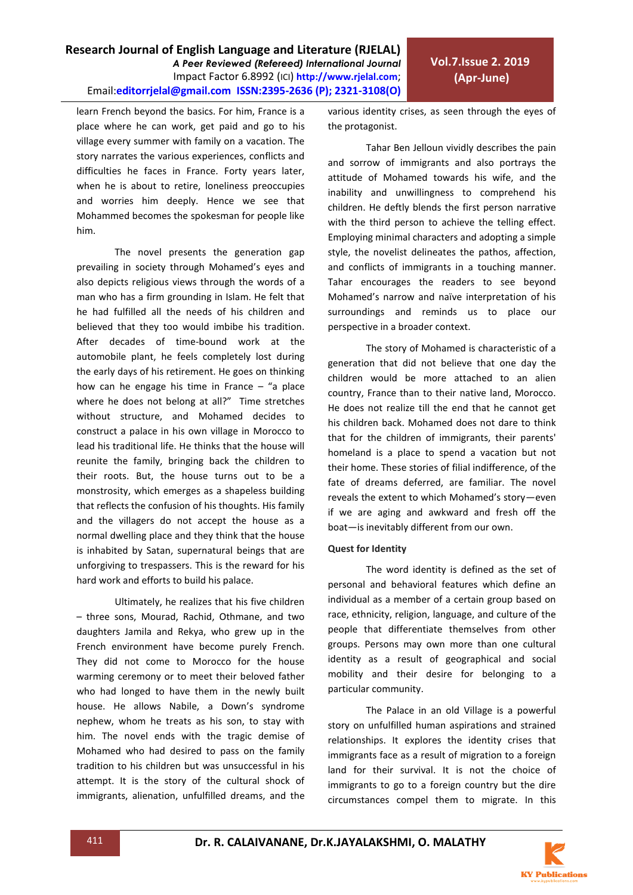## **Research Journal of English Language and Literature (RJELAL)** *A Peer Reviewed (Refereed) International Journal* Impact Factor 6.8992 (ICI) **http://www.rjelal.com**; Email:**editorrjelal@gmail.com ISSN:2395-2636 (P); 2321-3108(O)**

learn French beyond the basics. For him, France is a place where he can work, get paid and go to his village every summer with family on a vacation. The story narrates the various experiences, conflicts and difficulties he faces in France. Forty years later, when he is about to retire, loneliness preoccupies and worries him deeply. Hence we see that Mohammed becomes the spokesman for people like him.

The novel presents the generation gap prevailing in society through Mohamed's eyes and also depicts religious views through the words of a man who has a firm grounding in Islam. He felt that he had fulfilled all the needs of his children and believed that they too would imbibe his tradition. After decades of time-bound work at the automobile plant, he feels completely lost during the early days of his retirement. He goes on thinking how can he engage his time in France  $-$  "a place where he does not belong at all?" Time stretches without structure, and Mohamed decides to construct a palace in his own village in Morocco to lead his traditional life. He thinks that the house will reunite the family, bringing back the children to their roots. But, the house turns out to be a monstrosity, which emerges as a shapeless building that reflects the confusion of his thoughts. His family and the villagers do not accept the house as a normal dwelling place and they think that the house is inhabited by Satan, supernatural beings that are unforgiving to trespassers. This is the reward for his hard work and efforts to build his palace.

Ultimately, he realizes that his five children – three sons, Mourad, Rachid, Othmane, and two daughters Jamila and Rekya, who grew up in the French environment have become purely French. They did not come to Morocco for the house warming ceremony or to meet their beloved father who had longed to have them in the newly built house. He allows Nabile, a Down's syndrome nephew, whom he treats as his son, to stay with him. The novel ends with the tragic demise of Mohamed who had desired to pass on the family tradition to his children but was unsuccessful in his attempt. It is the story of the cultural shock of immigrants, alienation, unfulfilled dreams, and the

various identity crises, as seen through the eyes of the protagonist.

Tahar Ben Jelloun vividly describes the pain and sorrow of immigrants and also portrays the attitude of Mohamed towards his wife, and the inability and unwillingness to comprehend his children. He deftly blends the first person narrative with the third person to achieve the telling effect. Employing minimal characters and adopting a simple style, the novelist delineates the pathos, affection, and conflicts of immigrants in a touching manner. Tahar encourages the readers to see beyond Mohamed's narrow and naïve interpretation of his surroundings and reminds us to place our perspective in a broader context.

The story of Mohamed is characteristic of a generation that did not believe that one day the children would be more attached to an alien country, France than to their native land, Morocco. He does not realize till the end that he cannot get his children back. Mohamed does not dare to think that for the children of immigrants, their parents' homeland is a place to spend a vacation but not their home. These stories of filial indifference, of the fate of dreams deferred, are familiar. The novel reveals the extent to which Mohamed's story—even if we are aging and awkward and fresh off the boat—is inevitably different from our own.

#### **Quest for Identity**

The word identity is defined as the set of personal and behavioral features which define an individual as a member of a certain group based on race, ethnicity, religion, language, and culture of the people that differentiate themselves from other groups. Persons may own more than one cultural identity as a result of geographical and social mobility and their desire for belonging to a particular community.

The Palace in an old Village is a powerful story on unfulfilled human aspirations and strained relationships. It explores the identity crises that immigrants face as a result of migration to a foreign land for their survival. It is not the choice of immigrants to go to a foreign country but the dire circumstances compel them to migrate. In this

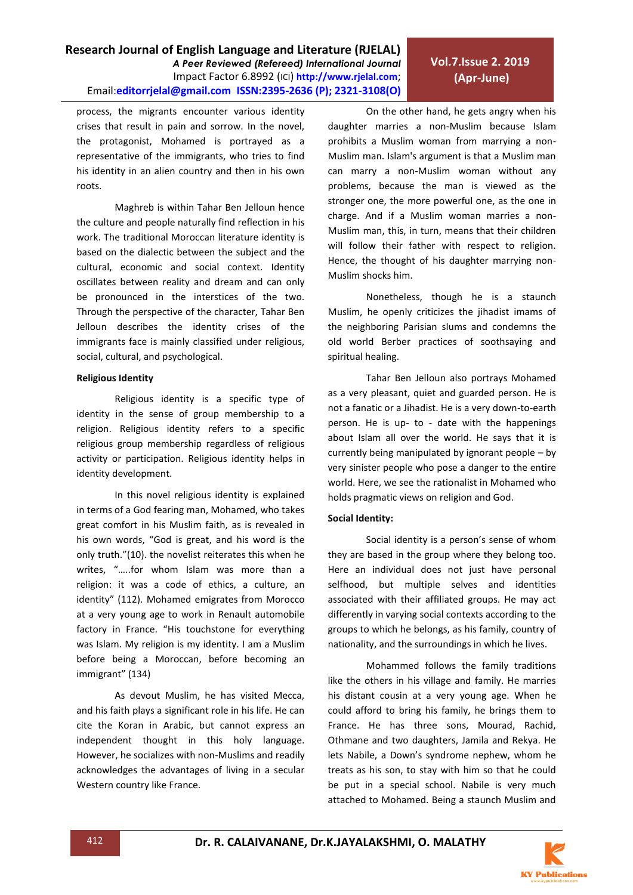

# process, the migrants encounter various identity crises that result in pain and sorrow. In the novel, the protagonist, Mohamed is portrayed as a representative of the immigrants, who tries to find his identity in an alien country and then in his own roots.

Maghreb is within Tahar Ben Jelloun hence the culture and people naturally find reflection in his work. The traditional Moroccan literature identity is based on the dialectic between the subject and the cultural, economic and social context. Identity oscillates between reality and dream and can only be pronounced in the interstices of the two. Through the perspective of the character, Tahar Ben Jelloun describes the identity crises of the immigrants face is mainly classified under religious, social, cultural, and psychological.

#### **Religious Identity**

Religious identity is a specific type of identity in the sense of group membership to a religion. Religious identity refers to a specific religious group membership regardless of religious activity or participation. Religious identity helps in identity development.

In this novel religious identity is explained in terms of a God fearing man, Mohamed, who takes great comfort in his Muslim faith, as is revealed in his own words, "God is great, and his word is the only truth."(10). the novelist reiterates this when he writes, "…..for whom Islam was more than a religion: it was a code of ethics, a culture, an identity" (112). Mohamed emigrates from Morocco at a very young age to work in Renault automobile factory in France. "His touchstone for everything was Islam. My religion is my identity. I am a Muslim before being a Moroccan, before becoming an immigrant" (134)

As devout Muslim, he has visited Mecca, and his faith plays a significant role in his life. He can cite the Koran in Arabic, but cannot express an independent thought in this holy language. However, he socializes with non-Muslims and readily acknowledges the advantages of living in a secular Western country like France.

On the other hand, he gets angry when his daughter marries a non-Muslim because Islam prohibits a Muslim woman from marrying a non-Muslim man. Islam's argument is that a Muslim man can marry a non-Muslim woman without any problems, because the man is viewed as the stronger one, the more powerful one, as the one in charge. And if a Muslim woman marries a non-Muslim man, this, in turn, means that their children will follow their father with respect to religion. Hence, the thought of his daughter marrying non-Muslim shocks him.

**Vol.7.Issue 2. 2019 (Apr-June)**

Nonetheless, though he is a staunch Muslim, he openly criticizes the jihadist imams of the neighboring Parisian slums and condemns the old world Berber practices of soothsaying and spiritual healing.

Tahar Ben Jelloun also portrays Mohamed as a very pleasant, quiet and guarded person. He is not a fanatic or a Jihadist. He is a very down-to-earth person. He is up- to - date with the happenings about Islam all over the world. He says that it is currently being manipulated by ignorant people – by very sinister people who pose a danger to the entire world. Here, we see the rationalist in Mohamed who holds pragmatic views on religion and God.

# **Social Identity:**

Social identity is a person's sense of whom they are based in the group where they belong too. Here an individual does not just have personal selfhood, but multiple selves and identities associated with their affiliated groups. He may act differently in varying social contexts according to the groups to which he belongs, as his family, country of nationality, and the surroundings in which he lives.

Mohammed follows the family traditions like the others in his village and family. He marries his distant cousin at a very young age. When he could afford to bring his family, he brings them to France. He has three sons, Mourad, Rachid, Othmane and two daughters, Jamila and Rekya. He lets Nabile, a Down's syndrome nephew, whom he treats as his son, to stay with him so that he could be put in a special school. Nabile is very much attached to Mohamed. Being a staunch Muslim and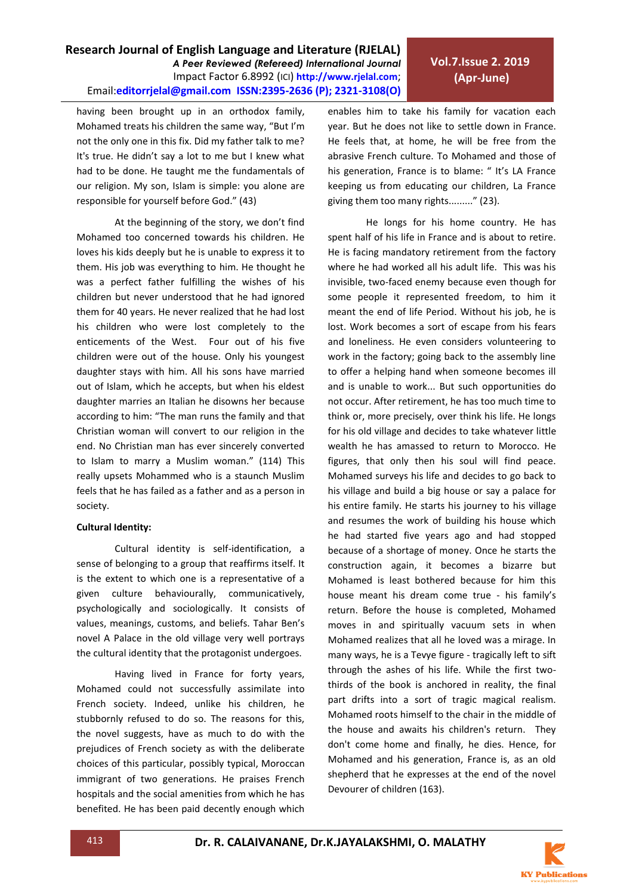## **Research Journal of English Language and Literature (RJELAL)** *A Peer Reviewed (Refereed) International Journal* Impact Factor 6.8992 (ICI) **http://www.rjelal.com**; Email:**editorrjelal@gmail.com ISSN:2395-2636 (P); 2321-3108(O)**

having been brought up in an orthodox family, Mohamed treats his children the same way, "But I'm not the only one in this fix. Did my father talk to me? It's true. He didn't say a lot to me but I knew what had to be done. He taught me the fundamentals of our religion. My son, Islam is simple: you alone are responsible for yourself before God." (43)

At the beginning of the story, we don't find Mohamed too concerned towards his children. He loves his kids deeply but he is unable to express it to them. His job was everything to him. He thought he was a perfect father fulfilling the wishes of his children but never understood that he had ignored them for 40 years. He never realized that he had lost his children who were lost completely to the enticements of the West. Four out of his five children were out of the house. Only his youngest daughter stays with him. All his sons have married out of Islam, which he accepts, but when his eldest daughter marries an Italian he disowns her because according to him: "The man runs the family and that Christian woman will convert to our religion in the end. No Christian man has ever sincerely converted to Islam to marry a Muslim woman." (114) This really upsets Mohammed who is a staunch Muslim feels that he has failed as a father and as a person in society.

## **Cultural Identity:**

Cultural identity is self-identification, a sense of belonging to a group that reaffirms itself. It is the extent to which one is a representative of a given culture behaviourally, communicatively, psychologically and sociologically. It consists of values, meanings, customs, and beliefs. Tahar Ben's novel A Palace in the old village very well portrays the cultural identity that the protagonist undergoes.

Having lived in France for forty years, Mohamed could not successfully assimilate into French society. Indeed, unlike his children, he stubbornly refused to do so. The reasons for this, the novel suggests, have as much to do with the prejudices of French society as with the deliberate choices of this particular, possibly typical, Moroccan immigrant of two generations. He praises French hospitals and the social amenities from which he has benefited. He has been paid decently enough which

enables him to take his family for vacation each year. But he does not like to settle down in France. He feels that, at home, he will be free from the abrasive French culture. To Mohamed and those of his generation, France is to blame: " It's LA France keeping us from educating our children, La France giving them too many rights........." (23).

**Vol.7.Issue 2. 2019 (Apr-June)**

He longs for his home country. He has spent half of his life in France and is about to retire. He is facing mandatory retirement from the factory where he had worked all his adult life. This was his invisible, two-faced enemy because even though for some people it represented freedom, to him it meant the end of life Period. Without his job, he is lost. Work becomes a sort of escape from his fears and loneliness. He even considers volunteering to work in the factory; going back to the assembly line to offer a helping hand when someone becomes ill and is unable to work... But such opportunities do not occur. After retirement, he has too much time to think or, more precisely, over think his life. He longs for his old village and decides to take whatever little wealth he has amassed to return to Morocco. He figures, that only then his soul will find peace. Mohamed surveys his life and decides to go back to his village and build a big house or say a palace for his entire family. He starts his journey to his village and resumes the work of building his house which he had started five years ago and had stopped because of a shortage of money. Once he starts the construction again, it becomes a bizarre but Mohamed is least bothered because for him this house meant his dream come true - his family's return. Before the house is completed, Mohamed moves in and spiritually vacuum sets in when Mohamed realizes that all he loved was a mirage. In many ways, he is a Tevye figure - tragically left to sift through the ashes of his life. While the first twothirds of the book is anchored in reality, the final part drifts into a sort of tragic magical realism. Mohamed roots himself to the chair in the middle of the house and awaits his children's return. They don't come home and finally, he dies. Hence, for Mohamed and his generation, France is, as an old shepherd that he expresses at the end of the novel Devourer of children (163).

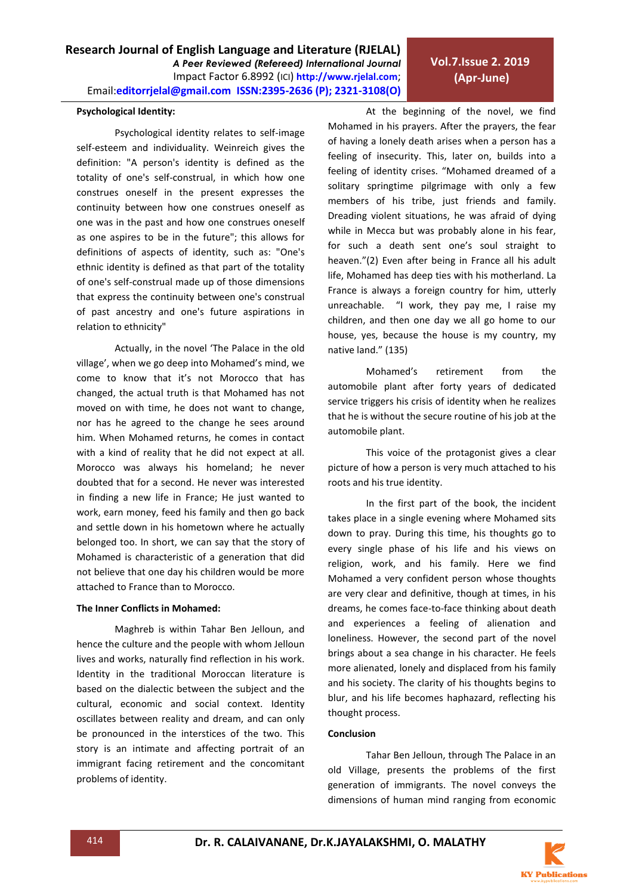#### **Psychological Identity:**

Psychological identity relates to self-image self-esteem and individuality. Weinreich gives the definition: "A person's identity is defined as the totality of one's self-construal, in which how one construes oneself in the present expresses the continuity between how one construes oneself as one was in the past and how one construes oneself as one aspires to be in the future"; this allows for definitions of aspects of identity, such as: "One's ethnic identity is defined as that part of the totality of one's self-construal made up of those dimensions that express the continuity between one's construal of past ancestry and one's future aspirations in relation to ethnicity"

Actually, in the novel 'The Palace in the old village', when we go deep into Mohamed's mind, we come to know that it's not Morocco that has changed, the actual truth is that Mohamed has not moved on with time, he does not want to change, nor has he agreed to the change he sees around him. When Mohamed returns, he comes in contact with a kind of reality that he did not expect at all. Morocco was always his homeland; he never doubted that for a second. He never was interested in finding a new life in France; He just wanted to work, earn money, feed his family and then go back and settle down in his hometown where he actually belonged too. In short, we can say that the story of Mohamed is characteristic of a generation that did not believe that one day his children would be more attached to France than to Morocco.

#### **The Inner Conflicts in Mohamed:**

Maghreb is within Tahar Ben Jelloun, and hence the culture and the people with whom Jelloun lives and works, naturally find reflection in his work. Identity in the traditional Moroccan literature is based on the dialectic between the subject and the cultural, economic and social context. Identity oscillates between reality and dream, and can only be pronounced in the interstices of the two. This story is an intimate and affecting portrait of an immigrant facing retirement and the concomitant problems of identity.

At the beginning of the novel, we find Mohamed in his prayers. After the prayers, the fear of having a lonely death arises when a person has a feeling of insecurity. This, later on, builds into a feeling of identity crises. "Mohamed dreamed of a solitary springtime pilgrimage with only a few members of his tribe, just friends and family. Dreading violent situations, he was afraid of dying while in Mecca but was probably alone in his fear, for such a death sent one's soul straight to heaven."(2) Even after being in France all his adult life, Mohamed has deep ties with his motherland. La France is always a foreign country for him, utterly unreachable. "I work, they pay me, I raise my children, and then one day we all go home to our house, yes, because the house is my country, my native land." (135)

**Vol.7.Issue 2. 2019 (Apr-June)**

Mohamed's retirement from the automobile plant after forty years of dedicated service triggers his crisis of identity when he realizes that he is without the secure routine of his job at the automobile plant.

This voice of the protagonist gives a clear picture of how a person is very much attached to his roots and his true identity.

In the first part of the book, the incident takes place in a single evening where Mohamed sits down to pray. During this time, his thoughts go to every single phase of his life and his views on religion, work, and his family. Here we find Mohamed a very confident person whose thoughts are very clear and definitive, though at times, in his dreams, he comes face-to-face thinking about death and experiences a feeling of alienation and loneliness. However, the second part of the novel brings about a sea change in his character. He feels more alienated, lonely and displaced from his family and his society. The clarity of his thoughts begins to blur, and his life becomes haphazard, reflecting his thought process.

#### **Conclusion**

Tahar Ben Jelloun, through The Palace in an old Village, presents the problems of the first generation of immigrants. The novel conveys the dimensions of human mind ranging from economic